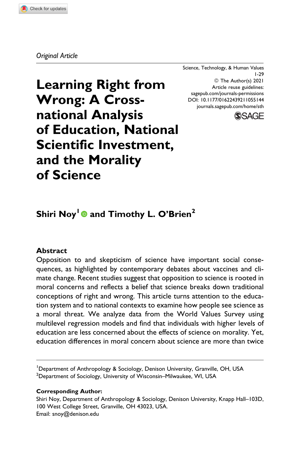### *Original Article*

Science, Technology, & Human Values 1-29 © The Author(s) 2021 Article reuse guidelines: [sagepub.com/journals-permissions](https://sagepub.com/journals-permissions) [DOI: 10.1177/01622439211055144](https://doi.org/10.1177/01622439211055144) [journals.sagepub.com/home/sth](http://journals.sagepub.com/home/sth)



**Learning Right from Wrong: A Crossnational Analysis of Education, National Scientific Investment, and the Morality of Science**

# **Shiri Noy<sup>1</sup> and Timothy L. O'Brien<sup>2</sup>**

### **Abstract**

Opposition to and skepticism of science have important social consequences, as highlighted by contemporary debates about vaccines and climate change. Recent studies suggest that opposition to science is rooted in moral concerns and reflects a belief that science breaks down traditional conceptions of right and wrong. This article turns attention to the education system and to national contexts to examine how people see science as a moral threat. We analyze data from the World Values Survey using multilevel regression models and find that individuals with higher levels of education are less concerned about the effects of science on morality. Yet, education differences in moral concern about science are more than twice

<sup>1</sup>Department of Anthropology & Sociology, Denison University, Granville, OH, USA  $^{\rm 2}$ Department of Sociology, University of Wisconsin–Milwaukee, WI, USA

#### **Corresponding Author:**

Shiri Noy, Department of Anthropology & Sociology, Denison University, Knapp Hall–103D, 100 West College Street, Granville, OH 43023, USA. Email: [snoy@denison.edu](mailto:snoy@denison.edu)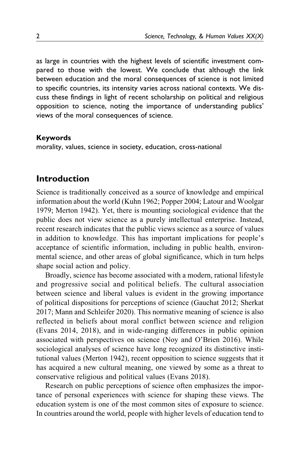as large in countries with the highest levels of scientific investment compared to those with the lowest. We conclude that although the link between education and the moral consequences of science is not limited to specific countries, its intensity varies across national contexts. We discuss these findings in light of recent scholarship on political and religious opposition to science, noting the importance of understanding publics' views of the moral consequences of science.

#### **Keywords**

morality, values, science in society, education, cross-national

### **Introduction**

Science is traditionally conceived as a source of knowledge and empirical information about the world [\(Kuhn 1962](#page-26-0); [Popper 2004](#page-27-0); [Latour and Woolgar](#page-26-0) [1979; Merton 1942\)](#page-26-0). Yet, there is mounting sociological evidence that the public does not view science as a purely intellectual enterprise. Instead, recent research indicates that the public views science as a source of values in addition to knowledge. This has important implications for people's acceptance of scientific information, including in public health, environmental science, and other areas of global significance, which in turn helps shape social action and policy.

Broadly, science has become associated with a modern, rational lifestyle and progressive social and political beliefs. The cultural association between science and liberal values is evident in the growing importance of political dispositions for perceptions of science ([Gauchat 2012;](#page-25-0) [Sherkat](#page-27-0) [2017;](#page-27-0) [Mann and Schleifer 2020](#page-26-0)). This normative meaning of science is also reflected in beliefs about moral conflict between science and religion [\(Evans 2014](#page-25-0), [2018](#page-25-0)), and in wide-ranging differences in public opinion associated with perspectives on science [\(Noy and O'Brien 2016\)](#page-26-0). While sociological analyses of science have long recognized its distinctive institutional values ([Merton 1942\)](#page-26-0), recent opposition to science suggests that it has acquired a new cultural meaning, one viewed by some as a threat to conservative religious and political values [\(Evans 2018\)](#page-25-0).

Research on public perceptions of science often emphasizes the importance of personal experiences with science for shaping these views. The education system is one of the most common sites of exposure to science. In countries around the world, people with higher levels of education tend to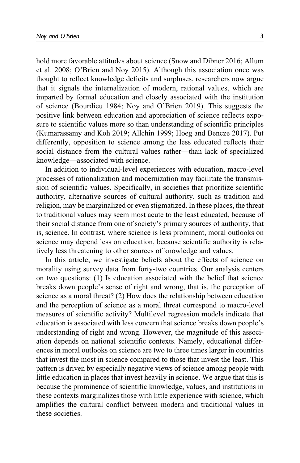hold more favorable attitudes about science [\(Snow and Dibner 2016;](#page-27-0) [Allum](#page-25-0) [et al. 2008;](#page-25-0) [O'Brien and Noy 2015](#page-27-0)). Although this association once was thought to reflect knowledge deficits and surpluses, researchers now argue that it signals the internalization of modern, rational values, which are imparted by formal education and closely associated with the institution of science ([Bourdieu 1984](#page-25-0); [Noy and O'Brien 2019\)](#page-27-0). This suggests the positive link between education and appreciation of science reflects exposure to scientific values more so than understanding of scientific principles [\(Kumarassamy and Koh 2019](#page-26-0); [Allchin 1999;](#page-25-0) [Hoeg and Bencze 2017](#page-26-0)). Put differently, opposition to science among the less educated reflects their social distance from the cultural values rather—than lack of specialized knowledge—associated with science.

In addition to individual-level experiences with education, macro-level processes of rationalization and modernization may facilitate the transmission of scientific values. Specifically, in societies that prioritize scientific authority, alternative sources of cultural authority, such as tradition and religion, may be marginalized or even stigmatized. In these places, the threat to traditional values may seem most acute to the least educated, because of their social distance from one of society's primary sources of authority, that is, science. In contrast, where science is less prominent, moral outlooks on science may depend less on education, because scientific authority is relatively less threatening to other sources of knowledge and values.

In this article, we investigate beliefs about the effects of science on morality using survey data from forty-two countries. Our analysis centers on two questions: (1) Is education associated with the belief that science breaks down people's sense of right and wrong, that is, the perception of science as a moral threat? (2) How does the relationship between education and the perception of science as a moral threat correspond to macro-level measures of scientific activity? Multilevel regression models indicate that education is associated with less concern that science breaks down people's understanding of right and wrong. However, the magnitude of this association depends on national scientific contexts. Namely, educational differences in moral outlooks on science are two to three times larger in countries that invest the most in science compared to those that invest the least. This pattern is driven by especially negative views of science among people with little education in places that invest heavily in science. We argue that this is because the prominence of scientific knowledge, values, and institutions in these contexts marginalizes those with little experience with science, which amplifies the cultural conflict between modern and traditional values in these societies.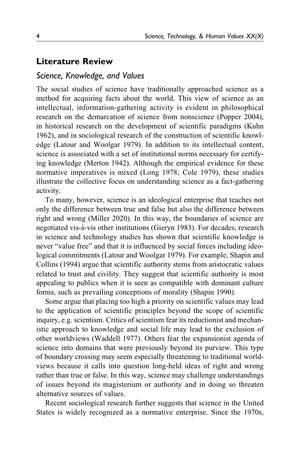## **Literature Review**

### *Science, Knowledge, and Values*

The social studies of science have traditionally approached science as a method for acquiring facts about the world. This view of science as an intellectual, information-gathering activity is evident in philosophical research on the demarcation of science from nonscience [\(Popper 2004](#page-27-0)), in historical research on the development of scientific paradigms [\(Kuhn](#page-26-0) [1962\)](#page-26-0), and in sociological research of the construction of scientific knowledge [\(Latour and Woolgar 1979\)](#page-26-0). In addition to its intellectual content, science is associated with a set of institutional norms necessary for certifying knowledge [\(Merton 1942\)](#page-26-0). Although the empirical evidence for these normative imperatives is mixed ([Long 1978](#page-26-0); [Cole 1979\)](#page-25-0), these studies illustrate the collective focus on understanding science as a fact-gathering activity.

To many, however, science is an ideological enterprise that teaches not only the difference between true and false but also the difference between right and wrong ([Miller 2020](#page-26-0)). In this way, the boundaries of science are negotiated vis-à-vis other institutions ([Gieryn 1983](#page-25-0)). For decades, research in science and technology studies has shown that scientific knowledge is never "value free" and that it is influenced by social forces including ideological commitments ([Latour and Woolgar 1979\)](#page-26-0). For example, [Shapin and](#page-27-0) [Collins \(1994\)](#page-27-0) argue that scientific authority stems from aristocratic values related to trust and civility. They suggest that scientific authority is most appealing to publics when it is seen as compatible with dominant culture forms, such as prevailing conceptions of morality ([Shapin 1990\)](#page-27-0).

Some argue that placing too high a priority on scientific values may lead to the application of scientific principles beyond the scope of scientific inquiry, e.g. scientism. Critics of scientism fear its reductionist and mechanistic approach to knowledge and social life may lead to the exclusion of other worldviews ([Waddell 1977\)](#page-27-0). Others fear the expansionist agenda of science into domains that were previously beyond its purview. This type of boundary crossing may seem especially threatening to traditional worldviews because it calls into question long-held ideas of right and wrong rather than true or false. In this way, science may challenge understandings of issues beyond its magisterium or authority and in doing so threaten alternative sources of values.

Recent sociological research further suggests that science in the United States is widely recognized as a normative enterprise. Since the 1970s,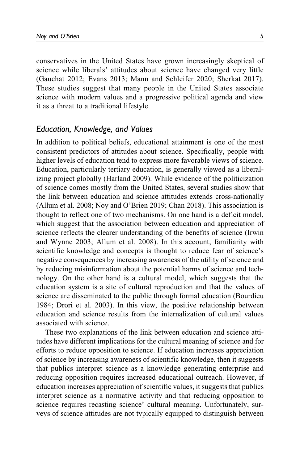conservatives in the United States have grown increasingly skeptical of science while liberals' attitudes about science have changed very little [\(Gauchat 2012](#page-25-0); [Evans 2013](#page-25-0); [Mann and Schleifer 2020;](#page-26-0) [Sherkat 2017](#page-27-0)). These studies suggest that many people in the United States associate science with modern values and a progressive political agenda and view it as a threat to a traditional lifestyle.

## *Education, Knowledge, and Values*

In addition to political beliefs, educational attainment is one of the most consistent predictors of attitudes about science. Specifically, people with higher levels of education tend to express more favorable views of science. Education, particularly tertiary education, is generally viewed as a liberalizing project globally [\(Harland 2009\)](#page-26-0). While evidence of the politicization of science comes mostly from the United States, several studies show that the link between education and science attitudes extends cross-nationally [\(Allum et al. 2008;](#page-25-0) [Noy and O'Brien 2019;](#page-27-0) [Chan 2018](#page-25-0)). This association is thought to reflect one of two mechanisms. On one hand is a deficit model, which suggest that the association between education and appreciation of science reflects the clearer understanding of the benefits of science ([Irwin](#page-26-0) [and Wynne 2003](#page-26-0); [Allum et al. 2008](#page-25-0)). In this account, familiarity with scientific knowledge and concepts is thought to reduce fear of science's negative consequences by increasing awareness of the utility of science and by reducing misinformation about the potential harms of science and technology. On the other hand is a cultural model, which suggests that the education system is a site of cultural reproduction and that the values of science are disseminated to the public through formal education [\(Bourdieu](#page-25-0) [1984; Drori et al. 2003](#page-25-0)). In this view, the positive relationship between education and science results from the internalization of cultural values associated with science.

These two explanations of the link between education and science attitudes have different implications for the cultural meaning of science and for efforts to reduce opposition to science. If education increases appreciation of science by increasing awareness of scientific knowledge, then it suggests that publics interpret science as a knowledge generating enterprise and reducing opposition requires increased educational outreach. However, if education increases appreciation of scientific values, it suggests that publics interpret science as a normative activity and that reducing opposition to science requires recasting science' cultural meaning. Unfortunately, surveys of science attitudes are not typically equipped to distinguish between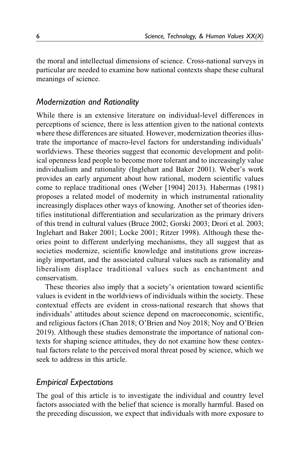the moral and intellectual dimensions of science. Cross-national surveys in particular are needed to examine how national contexts shape these cultural meanings of science.

## *Modernization and Rationality*

While there is an extensive literature on individual-level differences in perceptions of science, there is less attention given to the national contexts where these differences are situated. However, modernization theories illustrate the importance of macro-level factors for understanding individuals' worldviews. These theories suggest that economic development and political openness lead people to become more tolerant and to increasingly value individualism and rationality ([Inglehart and Baker 2001](#page-26-0)). Weber's work provides an early argument about how rational, modern scientific values come to replace traditional ones [\(Weber \[1904\] 2013\)](#page-28-0). [Habermas \(1981\)](#page-26-0) proposes a related model of modernity in which instrumental rationality increasingly displaces other ways of knowing. Another set of theories identifies institutional differentiation and secularization as the primary drivers of this trend in cultural values [\(Bruce 2002](#page-25-0); [Gorski 2003](#page-26-0); [Drori et al. 2003](#page-25-0); [Inglehart and Baker 2001; Locke 2001;](#page-26-0) [Ritzer 1998](#page-27-0)). Although these theories point to different underlying mechanisms, they all suggest that as societies modernize, scientific knowledge and institutions grow increasingly important, and the associated cultural values such as rationality and liberalism displace traditional values such as enchantment and conservatism.

These theories also imply that a society's orientation toward scientific values is evident in the worldviews of individuals within the society. These contextual effects are evident in cross-national research that shows that individuals' attitudes about science depend on macroeconomic, scientific, and religious factors ([Chan 2018;](#page-25-0) [O'Brien and Noy 2018](#page-27-0); [Noy and O'Brien](#page-27-0) [2019\)](#page-27-0). Although these studies demonstrate the importance of national contexts for shaping science attitudes, they do not examine how these contextual factors relate to the perceived moral threat posed by science, which we seek to address in this article.

## *Empirical Expectations*

The goal of this article is to investigate the individual and country level factors associated with the belief that science is morally harmful. Based on the preceding discussion, we expect that individuals with more exposure to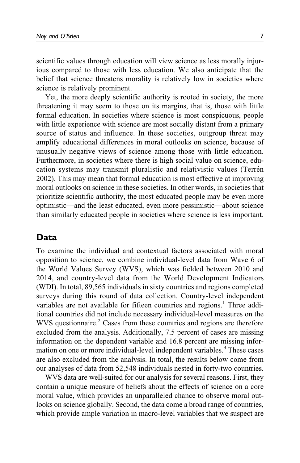scientific values through education will view science as less morally injurious compared to those with less education. We also anticipate that the belief that science threatens morality is relatively low in societies where science is relatively prominent.

Yet, the more deeply scientific authority is rooted in society, the more threatening it may seem to those on its margins, that is, those with little formal education. In societies where science is most conspicuous, people with little experience with science are most socially distant from a primary source of status and influence. In these societies, outgroup threat may amplify educational differences in moral outlooks on science, because of unusually negative views of science among those with little education. Furthermore, in societies where there is high social value on science, edu-cation systems may transmit pluralistic and relativistic values ([Terr](#page-27-0)én [2002\)](#page-27-0). This may mean that formal education is most effective at improving moral outlooks on science in these societies. In other words, in societies that prioritize scientific authority, the most educated people may be even more optimistic—and the least educated, even more pessimistic—about science than similarly educated people in societies where science is less important.

## **Data**

To examine the individual and contextual factors associated with moral opposition to science, we combine individual-level data from Wave 6 of the World Values Survey (WVS), which was fielded between 2010 and 2014, and country-level data from the World Development Indicators (WDI). In total, 89,565 individuals in sixty countries and regions completed surveys during this round of data collection. Country-level independent variables are not available for fifteen countries and regions.<sup>[1](#page-24-0)</sup> Three additional countries did not include necessary individual-level measures on the WVS questionnaire.<sup>[2](#page-24-0)</sup> Cases from these countries and regions are therefore excluded from the analysis. Additionally, 7.5 percent of cases are missing information on the dependent variable and 16.8 percent are missing infor-mation on one or more individual-level independent variables.<sup>[3](#page-24-0)</sup> These cases are also excluded from the analysis. In total, the results below come from our analyses of data from 52,548 individuals nested in forty-two countries.

WVS data are well-suited for our analysis for several reasons. First, they contain a unique measure of beliefs about the effects of science on a core moral value, which provides an unparalleled chance to observe moral outlooks on science globally. Second, the data come a broad range of countries, which provide ample variation in macro-level variables that we suspect are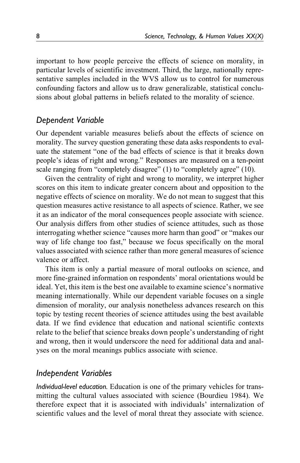important to how people perceive the effects of science on morality, in particular levels of scientific investment. Third, the large, nationally representative samples included in the WVS allow us to control for numerous confounding factors and allow us to draw generalizable, statistical conclusions about global patterns in beliefs related to the morality of science.

## *Dependent Variable*

Our dependent variable measures beliefs about the effects of science on morality. The survey question generating these data asks respondents to evaluate the statement "one of the bad effects of science is that it breaks down people's ideas of right and wrong." Responses are measured on a ten-point scale ranging from "completely disagree" (1) to "completely agree" (10).

Given the centrality of right and wrong to morality, we interpret higher scores on this item to indicate greater concern about and opposition to the negative effects of science on morality. We do not mean to suggest that this question measures active resistance to all aspects of science. Rather, we see it as an indicator of the moral consequences people associate with science. Our analysis differs from other studies of science attitudes, such as those interrogating whether science "causes more harm than good" or "makes our way of life change too fast," because we focus specifically on the moral values associated with science rather than more general measures of science valence or affect.

This item is only a partial measure of moral outlooks on science, and more fine-grained information on respondents' moral orientations would be ideal. Yet, this item is the best one available to examine science's normative meaning internationally. While our dependent variable focuses on a single dimension of morality, our analysis nonetheless advances research on this topic by testing recent theories of science attitudes using the best available data. If we find evidence that education and national scientific contexts relate to the belief that science breaks down people's understanding of right and wrong, then it would underscore the need for additional data and analyses on the moral meanings publics associate with science.

## *Independent Variables*

*Individual-level education.* Education is one of the primary vehicles for transmitting the cultural values associated with science ([Bourdieu 1984\)](#page-25-0). We therefore expect that it is associated with individuals' internalization of scientific values and the level of moral threat they associate with science.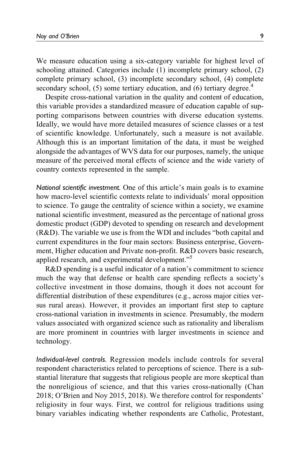We measure education using a six-category variable for highest level of schooling attained. Categories include (1) incomplete primary school, (2) complete primary school, (3) incomplete secondary school, (4) complete secondary school,  $(5)$  some tertiary education, and  $(6)$  tertiary degree.<sup>[4](#page-24-0)</sup>

Despite cross-national variation in the quality and content of education, this variable provides a standardized measure of education capable of supporting comparisons between countries with diverse education systems. Ideally, we would have more detailed measures of science classes or a test of scientific knowledge. Unfortunately, such a measure is not available. Although this is an important limitation of the data, it must be weighed alongside the advantages of WVS data for our purposes, namely, the unique measure of the perceived moral effects of science and the wide variety of country contexts represented in the sample.

*National scientific investment.* One of this article's main goals is to examine how macro-level scientific contexts relate to individuals' moral opposition to science. To gauge the centrality of science within a society, we examine national scientific investment, measured as the percentage of national gross domestic product (GDP) devoted to spending on research and development (R&D). The variable we use is from the WDI and includes "both capital and current expenditures in the four main sectors: Business enterprise, Government, Higher education and Private non-profit. R&D covers basic research, applied research, and experimental development."<sup>[5](#page-24-0)</sup>

R&D spending is a useful indicator of a nation's commitment to science much the way that defense or health care spending reflects a society's collective investment in those domains, though it does not account for differential distribution of these expenditures (e.g., across major cities versus rural areas). However, it provides an important first step to capture cross-national variation in investments in science. Presumably, the modern values associated with organized science such as rationality and liberalism are more prominent in countries with larger investments in science and technology.

*Individual-level controls.* Regression models include controls for several respondent characteristics related to perceptions of science. There is a substantial literature that suggests that religious people are more skeptical than the nonreligious of science, and that this varies cross-nationally ([Chan](#page-25-0) [2018;](#page-25-0) [O'Brien and Noy 2015](#page-27-0), [2018](#page-27-0)). We therefore control for respondents' religiosity in four ways. First, we control for religious traditions using binary variables indicating whether respondents are Catholic, Protestant,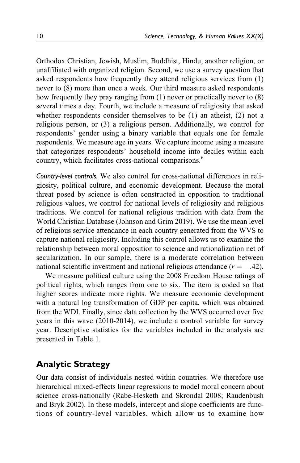Orthodox Christian, Jewish, Muslim, Buddhist, Hindu, another religion, or unaffiliated with organized religion. Second, we use a survey question that asked respondents how frequently they attend religious services from (1) never to (8) more than once a week. Our third measure asked respondents how frequently they pray ranging from (1) never or practically never to (8) several times a day. Fourth, we include a measure of religiosity that asked whether respondents consider themselves to be (1) an atheist, (2) not a religious person, or (3) a religious person. Additionally, we control for respondents' gender using a binary variable that equals one for female respondents. We measure age in years. We capture income using a measure that categorizes respondents' household income into deciles within each country, which facilitates cross-national comparisons.<sup>[6](#page-24-0)</sup>

*Country-level controls.* We also control for cross-national differences in religiosity, political culture, and economic development. Because the moral threat posed by science is often constructed in opposition to traditional religious values, we control for national levels of religiosity and religious traditions. We control for national religious tradition with data from the World Christian Database [\(Johnson and Grim 2019\)](#page-26-0). We use the mean level of religious service attendance in each country generated from the WVS to capture national religiosity. Including this control allows us to examine the relationship between moral opposition to science and rationalization net of secularization. In our sample, there is a moderate correlation between national scientific investment and national religious attendance  $(r = -.42)$ .

We measure political culture using the 2008 Freedom House ratings of political rights, which ranges from one to six. The item is coded so that higher scores indicate more rights. We measure economic development with a natural log transformation of GDP per capita, which was obtained from the WDI. Finally, since data collection by the WVS occurred over five years in this wave (2010-2014), we include a control variable for survey year. Descriptive statistics for the variables included in the analysis are presented in [Table 1.](#page-10-0)

## **Analytic Strategy**

Our data consist of individuals nested within countries. We therefore use hierarchical mixed-effects linear regressions to model moral concern about science cross-nationally ([Rabe-Hesketh and Skrondal 2008; Raudenbush](#page-27-0) [and Bryk 2002](#page-27-0)). In these models, intercept and slope coefficients are functions of country-level variables, which allow us to examine how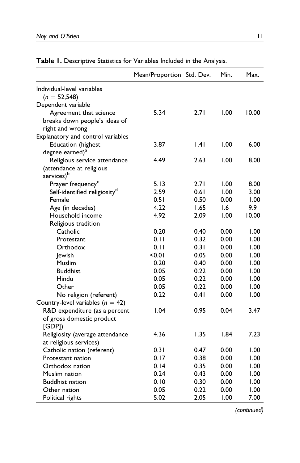|                                          | Mean/Proportion Std. Dev. |      | Min. | Max.  |
|------------------------------------------|---------------------------|------|------|-------|
| Individual-level variables               |                           |      |      |       |
| $(n = 52, 548)$                          |                           |      |      |       |
| Dependent variable                       |                           |      |      |       |
| Agreement that science                   | 5.34                      | 2.71 | 1.00 | 10.00 |
| breaks down people's ideas of            |                           |      |      |       |
| right and wrong                          |                           |      |      |       |
| Explanatory and control variables        |                           |      |      |       |
| Education (highest                       | 3.87                      | .4   | 1.00 | 6.00  |
| degree earned) <sup>a</sup>              |                           |      |      |       |
| Religious service attendance             | 4.49                      | 2.63 | 1.00 | 8.00  |
| (attendance at religious                 |                           |      |      |       |
| services) <sup>b</sup>                   |                           |      |      |       |
| Prayer frequency <sup>c</sup>            | 5.13                      | 2.71 | 1.00 | 8.00  |
| Self-identified religiosity <sup>d</sup> | 2.59                      | 0.61 | 1.00 | 3.00  |
| Female                                   | 0.51                      | 0.50 | 0.00 | 1.00  |
| Age (in decades)                         | 4.22                      | 1.65 | 1.6  | 9.9   |
| Household income                         | 4.92                      | 2.09 | 1.00 | 10.00 |
| Religious tradition                      |                           |      |      |       |
| Catholic                                 | 0.20                      | 0.40 | 0.00 | 1.00  |
| Protestant                               | 0.11                      | 0.32 | 0.00 | 1.00  |
| Orthodox                                 | 0.11                      | 0.31 | 0.00 | 1.00  |
| <b>lewish</b>                            | < 0.01                    | 0.05 | 0.00 | 1.00  |
| Muslim                                   | 0.20                      | 0.40 | 0.00 | 1.00  |
| <b>Buddhist</b>                          | 0.05                      | 0.22 | 0.00 | 1.00  |
| Hindu                                    | 0.05                      | 0.22 | 0.00 | 1.00  |
| Other                                    | 0.05                      | 0.22 | 0.00 | 1.00  |
| No religion (referent)                   | 0.22                      | 0.41 | 0.00 | 1.00  |
| Country-level variables $(n = 42)$       |                           |      |      |       |
| R&D expenditure (as a percent            | 1.04                      | 0.95 | 0.04 | 3.47  |
| of gross domestic product                |                           |      |      |       |
| [GDP])                                   |                           |      |      |       |
| Religiosity (average attendance          | 4.36                      | 1.35 | 1.84 | 7.23  |
| at religious services)                   |                           |      |      |       |
| Catholic nation (referent)               | 0.31                      | 0.47 | 0.00 | 1.00  |
| Protestant nation                        | 0.17                      | 0.38 | 0.00 | 1.00  |
| Orthodox nation                          | 0.14                      | 0.35 | 0.00 | 1.00  |
| Muslim nation                            | 0.24                      | 0.43 | 0.00 | 1.00  |
| <b>Buddhist nation</b>                   | 0.10                      | 0.30 | 0.00 | 1.00  |
| Other nation                             | 0.05                      | 0.22 | 0.00 | 1.00  |
| Political rights                         | 5.02                      | 2.05 | 1.00 | 7.00  |

<span id="page-10-0"></span>**Table 1.** Descriptive Statistics for Variables Included in the Analysis.

*(continued)*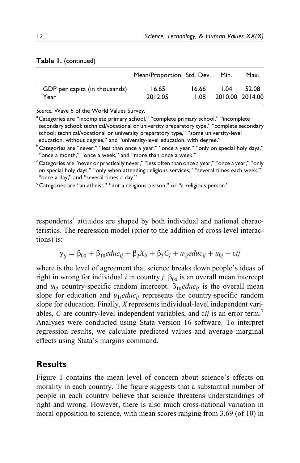|                               | Mean/Proportion Std. Dev. Min. |       |                 | Max.  |
|-------------------------------|--------------------------------|-------|-----------------|-------|
| GDP per capita (in thousands) | 16.65                          | 16.66 | 1.04            | 52.08 |
| Year                          | 2012.05                        | 1.08. | 2010.00 2014.00 |       |

**Table 1.** (continued)

*Source:* Wave 6 of the World Values Survey.

<sup>a</sup>Categories are "incomplete primary school," "complete primary school," "incomplete secondary school: technical/vocational or university preparatory type," "complete secondary school: technical/vocational or university preparatory type," "some university-level education, without degree," and "university-level education, with degree."

<sup>b</sup>Categories are "never," "less than once a year," "once a year," "only on special holy days," "once a month," "once a week," and "more than once a week."

<sup>c</sup>Categories are "never or practically never," "less often than once a year," "once a year," "only on special holy days," "only when attending religious services," "several times each week," "once a day," and "several times a day."

<sup>d</sup>Categories are "an atheist," "not a religious person," or "a religious person."

respondents' attitudes are shaped by both individual and national characteristics. The regression model (prior to the addition of cross-level interactions) is:

$$
y_{ij} = \beta_{00} + \beta_{10}educ_{ij} + \beta_{2}X_{ij} + \beta_{3}C_{j} + u_{1j}educ_{ij} + u_{0j} + \epsilon ij
$$

where is the level of agreement that science breaks down people's ideas of right in wrong for individual *i* in country *j*.  $\beta_{00}$  is an overall mean intercept and  $u_{0i}$  country-specific random intercept.  $\beta_{10}$ educ<sub>ij</sub> is the overall mean slope for education and  $u_{1j}$ educ<sub>ij</sub> represents the country-specific random slope for education. Finally, X represents individual-level independent variables, C are country-level independent variables, and  $\epsilon ij$  is an error term.<sup>[7](#page-25-0)</sup> Analyses were conducted using Stata version 16 software. To interpret regression results, we calculate predicted values and average marginal effects using Stata's margins command.

## **Results**

[Figure 1](#page-12-0) contains the mean level of concern about science's effects on morality in each country. The figure suggests that a substantial number of people in each country believe that science threatens understandings of right and wrong. However, there is also much cross-national variation in moral opposition to science, with mean scores ranging from 3.69 (of 10) in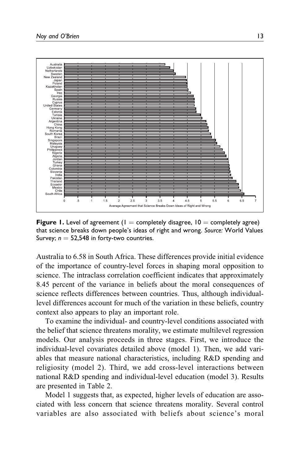<span id="page-12-0"></span>

**Figure 1.** Level of agreement  $(I =$  completely disagree,  $10 =$  completely agree) that science breaks down people's ideas of right and wrong. *Source:* World Values Survey;  $n = 52,548$  in forty-two countries.

Australia to 6.58 in South Africa. These differences provide initial evidence of the importance of country-level forces in shaping moral opposition to science. The intraclass correlation coefficient indicates that approximately 8.45 percent of the variance in beliefs about the moral consequences of science reflects differences between countries. Thus, although individuallevel differences account for much of the variation in these beliefs, country context also appears to play an important role.

To examine the individual- and country-level conditions associated with the belief that science threatens morality, we estimate multilevel regression models. Our analysis proceeds in three stages. First, we introduce the individual-level covariates detailed above (model 1). Then, we add variables that measure national characteristics, including R&D spending and religiosity (model 2). Third, we add cross-level interactions between national R&D spending and individual-level education (model 3). Results are presented in [Table 2.](#page-13-0)

Model 1 suggests that, as expected, higher levels of education are associated with less concern that science threatens morality. Several control variables are also associated with beliefs about science's moral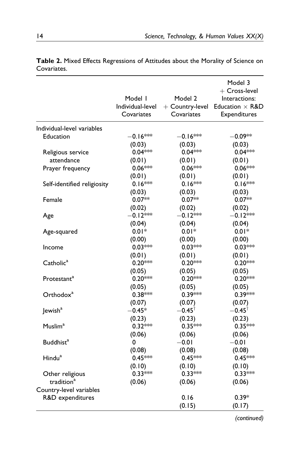|                             | Model I<br>Individual-level<br>Covariates | Model 2<br>$+$ Country-level<br>Covariates | Model 3<br>$+$ Cross-level<br>Interactions:<br>Education $\times$ R&D<br>Expenditures |
|-----------------------------|-------------------------------------------|--------------------------------------------|---------------------------------------------------------------------------------------|
| Individual-level variables  |                                           |                                            |                                                                                       |
| Education                   | –0.16***                                  | –0.16***                                   | $-0.09^{**}$                                                                          |
|                             | (0.03)                                    | (0.03)                                     | (0.03)                                                                                |
| Religious service           | $0.04***$                                 | $0.04***$                                  | $0.04***$                                                                             |
| attendance                  | (0.01)                                    | (0.01)                                     | (0.01)                                                                                |
| Prayer frequency            | $0.06***$                                 | $0.06***$                                  | $0.06***$                                                                             |
|                             | (0.01)                                    | (0.01)                                     | (0.01)                                                                                |
| Self-identified religiosity | $0.16***$                                 | $0.16***$                                  | $0.16***$                                                                             |
|                             | (0.03)                                    | (0.03)                                     | (0.03)                                                                                |
| Female                      | $0.07**$                                  | $0.07**$                                   | $0.07**$                                                                              |
|                             | (0.02)                                    | (0.02)                                     | (0.02)                                                                                |
| Age                         | $-0.12***$                                | $-0.12***$                                 | $-0.12***$                                                                            |
|                             | (0.04)                                    | (0.04)                                     | (0.04)                                                                                |
| Age-squared                 | $0.01*$                                   | $0.01*$                                    | $0.01*$                                                                               |
|                             | (0.00)                                    | (0.00)                                     | (0.00)                                                                                |
| Income                      | $0.03***$                                 | $0.03***$                                  | $0.03***$                                                                             |
|                             | (0.01)                                    | (0.01)                                     | (0.01)                                                                                |
| Catholic <sup>a</sup>       | $0.20***$                                 | $0.20***$                                  | $0.20***$                                                                             |
|                             | (0.05)                                    | (0.05)                                     | (0.05)                                                                                |
| Protestant <sup>a</sup>     | $0.20***$                                 | $0.20***$                                  | $0.20***$                                                                             |
|                             | (0.05)                                    | (0.05)                                     | (0.05)                                                                                |
| Orthodox <sup>a</sup>       | $0.38***$                                 | $0.39***$                                  | $0.39***$                                                                             |
|                             | (0.07)                                    | (0.07)                                     | (0.07)                                                                                |
| Jewish <sup>a</sup>         | $-0.45*$                                  | $-0.45^{\dagger}$                          | $-0.45^{\dagger}$                                                                     |
|                             | (0.23)                                    | (0.23)                                     | (0.23)                                                                                |
| Muslim <sup>a</sup>         | $0.32***$                                 | $0.35***$                                  | $0.35***$                                                                             |
|                             | (0.06)                                    | (0.06)                                     | (0.06)                                                                                |
| <b>Buddhist<sup>a</sup></b> | 0                                         | $-0.01$                                    | $-0.01$                                                                               |
|                             | (0.08)                                    | (0.08)                                     | (0.08)                                                                                |
| Hindu <sup>a</sup>          | $0.45***$                                 | $0.45***$                                  | $0.45***$                                                                             |
|                             | (0.10)                                    | (0.10)                                     | (0.10)                                                                                |
| Other religious             | $0.33***$                                 | $0.33***$                                  | $0.33***$                                                                             |
| tradition <sup>a</sup>      | (0.06)                                    | (0.06)                                     | (0.06)                                                                                |
| Country-level variables     |                                           |                                            |                                                                                       |
| R&D expenditures            |                                           | 0.16                                       | $0.39*$                                                                               |
|                             |                                           | (0.15)                                     | (0.17)                                                                                |

<span id="page-13-0"></span>**Table 2.** Mixed Effects Regressions of Attitudes about the Morality of Science on Covariates.

*(continued)*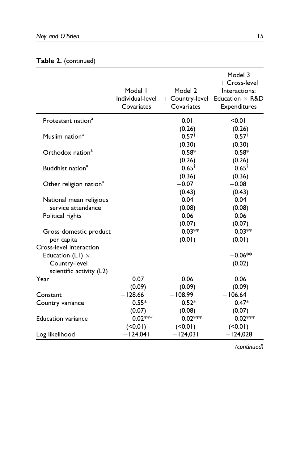## **Table 2.** (continued)

|                                    | Model I<br>Individual-level<br>Covariates | Model 2<br>$+$ Country-level<br>Covariates | Model 3<br>$+$ Cross-level<br>Interactions:<br>Education $\times$ R&D<br><b>Expenditures</b> |
|------------------------------------|-------------------------------------------|--------------------------------------------|----------------------------------------------------------------------------------------------|
| Protestant nation <sup>a</sup>     |                                           | $-0.01$                                    | < 0.01                                                                                       |
|                                    |                                           | (0.26)                                     | (0.26)                                                                                       |
| Muslim nation <sup>a</sup>         |                                           | $-0.57^{\dagger}$                          | $-0.57$ <sup>†</sup>                                                                         |
|                                    |                                           | (0.30)                                     | (0.30)                                                                                       |
| Orthodox nation <sup>a</sup>       |                                           | $-0.58*$                                   | $-0.58*$                                                                                     |
|                                    |                                           | (0.26)                                     | (0.26)                                                                                       |
| Buddhist nation <sup>a</sup>       |                                           | $0.65^{\dagger}$                           | $0.65^{\dagger}$                                                                             |
|                                    |                                           | (0.36)                                     | (0.36)                                                                                       |
| Other religion nation <sup>a</sup> |                                           | $-0.07$                                    | $-0.08$                                                                                      |
|                                    |                                           | (0.43)                                     | (0.43)                                                                                       |
| National mean religious            |                                           | 0.04                                       | 0.04                                                                                         |
| service attendance                 |                                           | (0.08)                                     | (0.08)                                                                                       |
| Political rights                   |                                           | 0.06                                       | 0.06                                                                                         |
|                                    |                                           | (0.07)                                     | (0.07)                                                                                       |
| Gross domestic product             |                                           | $-0.03**$                                  | $-0.03**$                                                                                    |
| per capita                         |                                           | (0.01)                                     | (0.01)                                                                                       |
| Cross-level interaction            |                                           |                                            |                                                                                              |
| Education (L1) $\times$            |                                           |                                            | $-0.06**$                                                                                    |
| Country-level                      |                                           |                                            | (0.02)                                                                                       |
| scientific activity (L2)           |                                           |                                            |                                                                                              |
| Year                               | 0.07                                      | 0.06                                       | 0.06                                                                                         |
|                                    | (0.09)                                    | (0.09)                                     | (0.09)                                                                                       |
| Constant                           | $-128.66$                                 | $-108.99$                                  | $-106.64$                                                                                    |
| Country variance                   | $0.55*$                                   | $0.52*$                                    | $0.47*$                                                                                      |
|                                    | (0.07)                                    | (0.08)                                     | (0.07)                                                                                       |
| <b>Education variance</b>          | $0.02***$                                 | $0.02***$                                  | $0.02***$                                                                                    |
|                                    | (50.01)                                   | (50.01)                                    | (50.01)                                                                                      |
| Log likelihood                     | $-124,041$                                | $-124,031$                                 | $-124,028$                                                                                   |

*(continued)*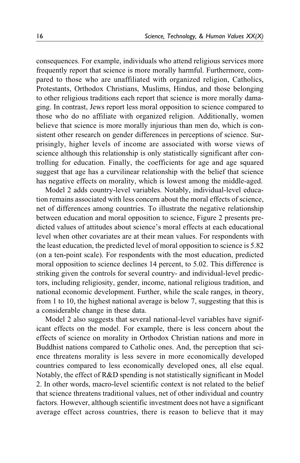consequences. For example, individuals who attend religious services more frequently report that science is more morally harmful. Furthermore, compared to those who are unaffiliated with organized religion, Catholics, Protestants, Orthodox Christians, Muslims, Hindus, and those belonging to other religious traditions each report that science is more morally damaging. In contrast, Jews report less moral opposition to science compared to those who do no affiliate with organized religion. Additionally, women believe that science is more morally injurious than men do, which is consistent other research on gender differences in perceptions of science. Surprisingly, higher levels of income are associated with worse views of science although this relationship is only statistically significant after controlling for education. Finally, the coefficients for age and age squared suggest that age has a curvilinear relationship with the belief that science has negative effects on morality, which is lowest among the middle-aged.

Model 2 adds country-level variables. Notably, individual-level education remains associated with less concern about the moral effects of science, net of differences among countries. To illustrate the negative relationship between education and moral opposition to science, [Figure 2](#page-16-0) presents predicted values of attitudes about science's moral effects at each educational level when other covariates are at their mean values. For respondents with the least education, the predicted level of moral opposition to science is 5.82 (on a ten-point scale). For respondents with the most education, predicted moral opposition to science declines 14 percent, to 5.02. This difference is striking given the controls for several country- and individual-level predictors, including religiosity, gender, income, national religious tradition, and national economic development. Further, while the scale ranges, in theory, from 1 to 10, the highest national average is below 7, suggesting that this is a considerable change in these data.

Model 2 also suggests that several national-level variables have significant effects on the model. For example, there is less concern about the effects of science on morality in Orthodox Christian nations and more in Buddhist nations compared to Catholic ones. And, the perception that science threatens morality is less severe in more economically developed countries compared to less economically developed ones, all else equal. Notably, the effect of R&D spending is not statistically significant in Model 2. In other words, macro-level scientific context is not related to the belief that science threatens traditional values, net of other individual and country factors. However, although scientific investment does not have a significant average effect across countries, there is reason to believe that it may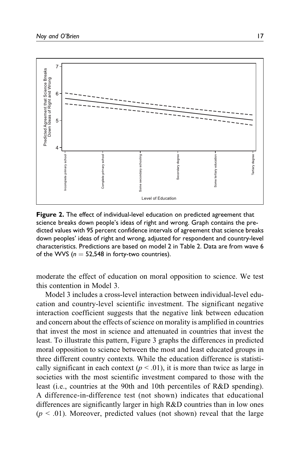<span id="page-16-0"></span>

**Figure 2.** The effect of individual-level education on predicted agreement that science breaks down people's ideas of right and wrong. Graph contains the predicted values with 95 percent confidence intervals of agreement that science breaks down peoples' ideas of right and wrong, adjusted for respondent and country-level characteristics. Predictions are based on model 2 in [Table 2](#page-13-0). Data are from wave 6 of the WVS  $(n = 52,548)$  in forty-two countries).

moderate the effect of education on moral opposition to science. We test this contention in Model 3.

Model 3 includes a cross-level interaction between individual-level education and country-level scientific investment. The significant negative interaction coefficient suggests that the negative link between education and concern about the effects of science on morality is amplified in countries that invest the most in science and attenuated in countries that invest the least. To illustrate this pattern, [Figure 3](#page-17-0) graphs the differences in predicted moral opposition to science between the most and least educated groups in three different country contexts. While the education difference is statistically significant in each context ( $p < .01$ ), it is more than twice as large in societies with the most scientific investment compared to those with the least (i.e., countries at the 90th and 10th percentiles of R&D spending). A difference-in-difference test (not shown) indicates that educational differences are significantly larger in high R&D countries than in low ones  $(p < .01)$ . Moreover, predicted values (not shown) reveal that the large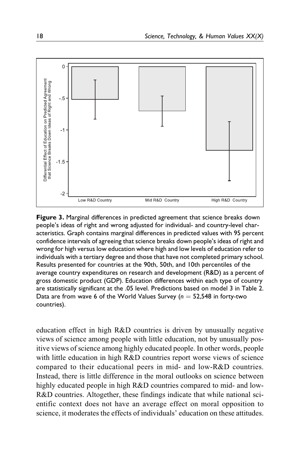<span id="page-17-0"></span>

**Figure 3.** Marginal differences in predicted agreement that science breaks down people's ideas of right and wrong adjusted for individual- and country-level characteristics. Graph contains marginal differences in predicted values with 95 percent confidence intervals of agreeing that science breaks down people's ideas of right and wrong for high versus low education where high and low levels of education refer to individuals with a tertiary degree and those that have not completed primary school. Results presented for countries at the 90th, 50th, and 10th percentiles of the average country expenditures on research and development (R&D) as a percent of gross domestic product (GDP). Education differences within each type of country are statistically significant at the .05 level. Predictions based on model 3 in [Table 2](#page-13-0). Data are from wave 6 of the World Values Survey ( $n = 52,548$  in forty-two countries).

education effect in high R&D countries is driven by unusually negative views of science among people with little education, not by unusually positive views of science among highly educated people. In other words, people with little education in high R&D countries report worse views of science compared to their educational peers in mid- and low-R&D countries. Instead, there is little difference in the moral outlooks on science between highly educated people in high R&D countries compared to mid- and low-R&D countries. Altogether, these findings indicate that while national scientific context does not have an average effect on moral opposition to science, it moderates the effects of individuals' education on these attitudes.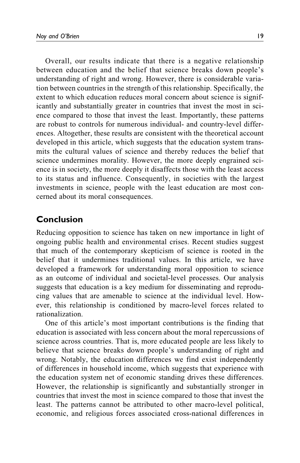Overall, our results indicate that there is a negative relationship between education and the belief that science breaks down people's understanding of right and wrong. However, there is considerable variation between countries in the strength of this relationship. Specifically, the extent to which education reduces moral concern about science is significantly and substantially greater in countries that invest the most in science compared to those that invest the least. Importantly, these patterns are robust to controls for numerous individual- and country-level differences. Altogether, these results are consistent with the theoretical account developed in this article, which suggests that the education system transmits the cultural values of science and thereby reduces the belief that science undermines morality. However, the more deeply engrained science is in society, the more deeply it disaffects those with the least access to its status and influence. Consequently, in societies with the largest investments in science, people with the least education are most concerned about its moral consequences.

## **Conclusion**

Reducing opposition to science has taken on new importance in light of ongoing public health and environmental crises. Recent studies suggest that much of the contemporary skepticism of science is rooted in the belief that it undermines traditional values. In this article, we have developed a framework for understanding moral opposition to science as an outcome of individual and societal-level processes. Our analysis suggests that education is a key medium for disseminating and reproducing values that are amenable to science at the individual level. However, this relationship is conditioned by macro-level forces related to rationalization.

One of this article's most important contributions is the finding that education is associated with less concern about the moral repercussions of science across countries. That is, more educated people are less likely to believe that science breaks down people's understanding of right and wrong. Notably, the education differences we find exist independently of differences in household income, which suggests that experience with the education system net of economic standing drives these differences. However, the relationship is significantly and substantially stronger in countries that invest the most in science compared to those that invest the least. The patterns cannot be attributed to other macro-level political, economic, and religious forces associated cross-national differences in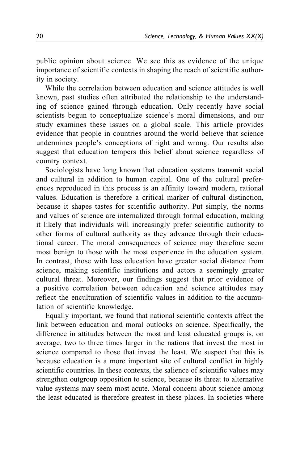public opinion about science. We see this as evidence of the unique importance of scientific contexts in shaping the reach of scientific authority in society.

While the correlation between education and science attitudes is well known, past studies often attributed the relationship to the understanding of science gained through education. Only recently have social scientists begun to conceptualize science's moral dimensions, and our study examines these issues on a global scale. This article provides evidence that people in countries around the world believe that science undermines people's conceptions of right and wrong. Our results also suggest that education tempers this belief about science regardless of country context.

Sociologists have long known that education systems transmit social and cultural in addition to human capital. One of the cultural preferences reproduced in this process is an affinity toward modern, rational values. Education is therefore a critical marker of cultural distinction, because it shapes tastes for scientific authority. Put simply, the norms and values of science are internalized through formal education, making it likely that individuals will increasingly prefer scientific authority to other forms of cultural authority as they advance through their educational career. The moral consequences of science may therefore seem most benign to those with the most experience in the education system. In contrast, those with less education have greater social distance from science, making scientific institutions and actors a seemingly greater cultural threat. Moreover, our findings suggest that prior evidence of a positive correlation between education and science attitudes may reflect the enculturation of scientific values in addition to the accumulation of scientific knowledge.

Equally important, we found that national scientific contexts affect the link between education and moral outlooks on science. Specifically, the difference in attitudes between the most and least educated groups is, on average, two to three times larger in the nations that invest the most in science compared to those that invest the least. We suspect that this is because education is a more important site of cultural conflict in highly scientific countries. In these contexts, the salience of scientific values may strengthen outgroup opposition to science, because its threat to alternative value systems may seem most acute. Moral concern about science among the least educated is therefore greatest in these places. In societies where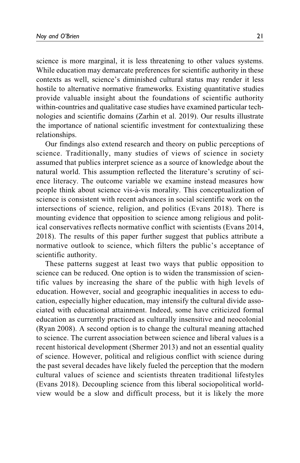science is more marginal, it is less threatening to other values systems. While education may demarcate preferences for scientific authority in these contexts as well, science's diminished cultural status may render it less hostile to alternative normative frameworks. Existing quantitative studies provide valuable insight about the foundations of scientific authority within-countries and qualitative case studies have examined particular technologies and scientific domains ([Zarhin et al. 2019](#page-28-0)). Our results illustrate the importance of national scientific investment for contextualizing these relationships.

Our findings also extend research and theory on public perceptions of science. Traditionally, many studies of views of science in society assumed that publics interpret science as a source of knowledge about the natural world. This assumption reflected the literature's scrutiny of science literacy. The outcome variable we examine instead measures how people think about science vis-à-vis morality. This conceptualization of science is consistent with recent advances in social scientific work on the intersections of science, religion, and politics ([Evans 2018\)](#page-25-0). There is mounting evidence that opposition to science among religious and political conservatives reflects normative conflict with scientists ([Evans 2014,](#page-25-0) [2018](#page-25-0)). The results of this paper further suggest that publics attribute a normative outlook to science, which filters the public's acceptance of scientific authority.

These patterns suggest at least two ways that public opposition to science can be reduced. One option is to widen the transmission of scientific values by increasing the share of the public with high levels of education. However, social and geographic inequalities in access to education, especially higher education, may intensify the cultural divide associated with educational attainment. Indeed, some have criticized formal education as currently practiced as culturally insensitive and neocolonial [\(Ryan 2008\)](#page-27-0). A second option is to change the cultural meaning attached to science. The current association between science and liberal values is a recent historical development ([Shermer 2013\)](#page-27-0) and not an essential quality of science. However, political and religious conflict with science during the past several decades have likely fueled the perception that the modern cultural values of science and scientists threaten traditional lifestyles [\(Evans 2018](#page-25-0)). Decoupling science from this liberal sociopolitical worldview would be a slow and difficult process, but it is likely the more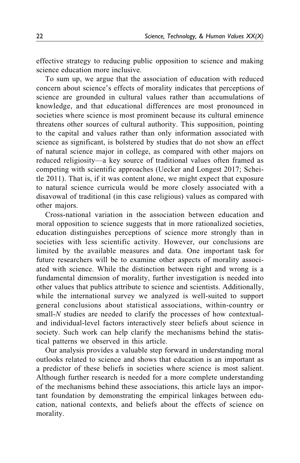effective strategy to reducing public opposition to science and making science education more inclusive.

To sum up, we argue that the association of education with reduced concern about science's effects of morality indicates that perceptions of science are grounded in cultural values rather than accumulations of knowledge, and that educational differences are most pronounced in societies where science is most prominent because its cultural eminence threatens other sources of cultural authority. This supposition, pointing to the capital and values rather than only information associated with science as significant, is bolstered by studies that do not show an effect of natural science major in college, as compared with other majors on reduced religiosity—a key source of traditional values often framed as competing with scientific approaches ([Uecker and Longest 2017](#page-27-0); [Schei](#page-27-0)[tle 2011](#page-27-0)). That is, if it was content alone, we might expect that exposure to natural science curricula would be more closely associated with a disavowal of traditional (in this case religious) values as compared with other majors.

Cross-national variation in the association between education and moral opposition to science suggests that in more rationalized societies, education distinguishes perceptions of science more strongly than in societies with less scientific activity. However, our conclusions are limited by the available measures and data. One important task for future researchers will be to examine other aspects of morality associated with science. While the distinction between right and wrong is a fundamental dimension of morality, further investigation is needed into other values that publics attribute to science and scientists. Additionally, while the international survey we analyzed is well-suited to support general conclusions about statistical associations, within-country or small-N studies are needed to clarify the processes of how contextualand individual-level factors interactively steer beliefs about science in society. Such work can help clarify the mechanisms behind the statistical patterns we observed in this article.

Our analysis provides a valuable step forward in understanding moral outlooks related to science and shows that education is an important as a predictor of these beliefs in societies where science is most salient. Although further research is needed for a more complete understanding of the mechanisms behind these associations, this article lays an important foundation by demonstrating the empirical linkages between education, national contexts, and beliefs about the effects of science on morality.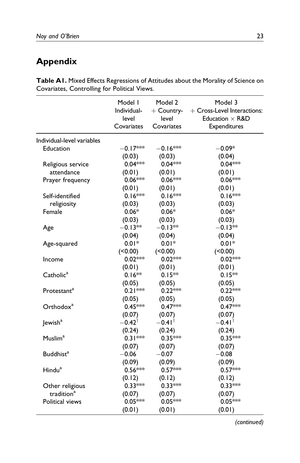# <span id="page-22-0"></span>**Appendix**

**Table A1.** Mixed Effects Regressions of Attitudes about the Morality of Science on Covariates, Controlling for Political Views.

|                            | Model I<br>Individual- | Model 2<br>$+$ Country- | Model 3<br>$+$ Cross-Level Interactions: |
|----------------------------|------------------------|-------------------------|------------------------------------------|
|                            | level                  | level                   | Education $\times$ R&D                   |
|                            | Covariates             | Covariates              | Expenditures                             |
| Individual-level variables |                        |                         |                                          |
| Education                  | $-0.17***$             | $-0.16***$              | $-0.09*$                                 |
|                            | (0.03)                 | (0.03)                  | (0.04)                                   |
| Religious service          | $0.04***$              | $0.04***$               | $0.04***$                                |
| attendance                 | (0.01)                 | (0.01)                  | (0.01)                                   |
| Prayer frequency           | $0.06***$              | $0.06***$               | $0.06***$                                |
|                            | (0.01)                 | (0.01)                  | (0.01)                                   |
| Self-identified            | $0.16***$              | $0.16***$               | $0.16***$                                |
| religiosity                | (0.03)                 | (0.03)                  | (0.03)                                   |
| Female                     | $0.06*$                | $0.06*$                 | $0.06*$                                  |
|                            | (0.03)                 | (0.03)                  | (0.03)                                   |
| Age                        | $-0.13**$              | $-0.13**$               | $-0.13**$                                |
|                            | (0.04)                 | (0.04)                  | (0.04)                                   |
| Age-squared                | $0.01*$                | $0.01*$                 | $0.01*$                                  |
|                            | (0.00)                 | (<0.00)                 | (<0.00)                                  |
| Income                     | $0.02***$              | $0.02***$               | $0.02***$                                |
|                            | (0.01)                 | (0.01)                  | (0.01)                                   |
| Catholic <sup>a</sup>      | $0.16**$               | $0.15**$                | $0.15**$                                 |
|                            | (0.05)                 | (0.05)                  | (0.05)                                   |
| Protestant <sup>a</sup>    | $0.21***$              | $0.22***$               | $0.22***$                                |
|                            | (0.05)                 | (0.05)                  | (0.05)                                   |
| Orthodox <sup>a</sup>      | $0.45***$              | $0.47***$               | $0.47***$                                |
|                            | (0.07)                 | (0.07)                  | (0.07)                                   |
| Jewish <sup>a</sup>        | $-0.42^{\dagger}$      | $-0.41^{\dagger}$       | $-0.4$ I $^\dagger$                      |
|                            | (0.24)                 | (0.24)                  | (0.24)                                   |
| Muslim <sup>a</sup>        | $0.31***$              | $0.35***$               | $0.35***$                                |
|                            | (0.07)                 | (0.07)                  | (0.07)                                   |
| Buddhist <sup>a</sup>      | $-0.06$                | $-0.07$                 | $-0.08$                                  |
|                            | (0.09)                 | (0.09)                  | (0.09)                                   |
| $Hindu^a$                  | $0.56***$              | $0.57***$               | $0.57***$                                |
|                            | (0.12)                 | (0.12)                  | (0.12)                                   |
| Other religious            | $0.33***$              | $0.33***$               | $0.33***$                                |
| tradition <sup>a</sup>     | (0.07)                 | (0.07)                  | (0.07)                                   |
| Political views            | $0.05***$              | $0.05***$               | $0.05***$                                |
|                            | (0.01)                 | (0.01)                  | (0.01)                                   |

*(continued)*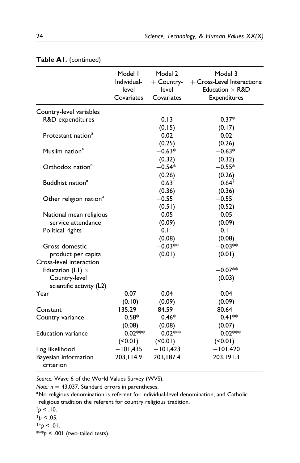|                                    | Model I     | Model 2          | Model 3                     |
|------------------------------------|-------------|------------------|-----------------------------|
|                                    | Individual- | $+$ Country-     | + Cross-Level Interactions: |
|                                    | level       | level            | Education $\times$ R&D      |
|                                    | Covariates  | Covariates       | <b>Expenditures</b>         |
| Country-level variables            |             |                  |                             |
| R&D expenditures                   |             | 0.13             | $0.37*$                     |
|                                    |             | (0.15)           | (0.17)                      |
| Protestant nation <sup>a</sup>     |             | $-0.02$          | $-0.02$                     |
|                                    |             | (0.25)           | (0.26)                      |
| Muslim nation <sup>a</sup>         |             | $-0.63*$         | $-0.63*$                    |
|                                    |             | (0.32)           | (0.32)                      |
| Orthodox nation <sup>a</sup>       |             | $-0.54*$         | $-0.55*$                    |
|                                    |             | (0.26)           | (0.26)                      |
| Buddhist nation <sup>a</sup>       |             | $0.63^{\dagger}$ | $0.64^{\dagger}$            |
|                                    |             | (0.36)           | (0.36)                      |
| Other religion nation <sup>a</sup> |             | $-0.55$          | $-0.55$                     |
|                                    |             | (0.51)           | (0.52)                      |
| National mean religious            |             | 0.05             | 0.05                        |
| service attendance                 |             | (0.09)           | (0.09)                      |
| Political rights                   |             | 0.1              | 0.1                         |
|                                    |             | (0.08)           | (0.08)                      |
| Gross domestic                     |             | $-0.03**$        | $-0.03**$                   |
| product per capita                 |             | (0.01)           | (0.01)                      |
| Cross-level interaction            |             |                  |                             |
| Education (L1) $\times$            |             |                  | $-0.07**$                   |
| Country-level                      |             |                  | (0.03)                      |
| scientific activity (L2)           |             |                  |                             |
| Year                               | 0.07        | 0.04             | 0.04                        |
|                                    | (0.10)      | (0.09)           | (0.09)                      |
| Constant                           | $-135.29$   | $-84.59$         | $-80.64$                    |
| Country variance                   | $0.58*$     | $0.46*$          | $0.41**$                    |
|                                    | (0.08)      | (0.08)           | (0.07)                      |
| <b>Education variance</b>          | $0.02***$   | $0.02***$        | $0.02***$                   |
|                                    | (50.01)     | (50.01)          | (50.01)                     |
| Log likelihood                     | $-101,435$  | $-101,423$       | $-101,420$                  |
| Bayesian information<br>criterion  | 203, 114.9  | 203, 187.4       | 203, 191.3                  |

### **Table A1.** (continued)

*Source:* Wave 6 of the World Values Survey (WVS).

*Note:*  $n = 43,037$ . Standard errors in parentheses.

<sup>a</sup>No religious denomination is referent for individual-level denomination, and Catholic religious tradition the referent for country religious tradition.

- $\phi$  < .10.
- $*_{p}$  < .05.

 $*$ *p* < .01.

\*\*\**p* < .001 (two-tailed tests).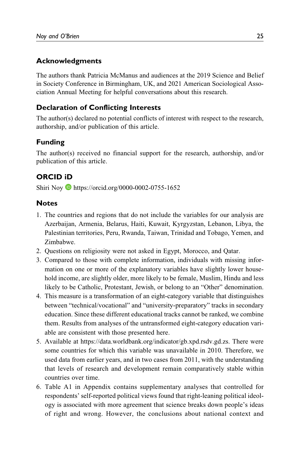## <span id="page-24-0"></span>**Acknowledgments**

The authors thank Patricia McManus and audiences at the 2019 Science and Belief in Society Conference in Birmingham, UK, and 2021 American Sociological Association Annual Meeting for helpful conversations about this research.

## **Declaration of Conflicting Interests**

The author(s) declared no potential conflicts of interest with respect to the research, authorship, and/or publication of this article.

## **Funding**

The author(s) received no financial support for the research, authorship, and/or publication of this article.

## **ORCID iD**

Shiri Noy <https://orcid.org/0000-0002-0755-1652>

### **Notes**

- 1. The countries and regions that do not include the variables for our analysis are Azerbaijan, Armenia, Belarus, Haiti, Kuwait, Kyrgyzstan, Lebanon, Libya, the Palestinian territories, Peru, Rwanda, Taiwan, Trinidad and Tobago, Yemen, and Zimbabwe.
- 2. Questions on religiosity were not asked in Egypt, Morocco, and Qatar.
- 3. Compared to those with complete information, individuals with missing information on one or more of the explanatory variables have slightly lower household income, are slightly older, more likely to be female, Muslim, Hindu and less likely to be Catholic, Protestant, Jewish, or belong to an "Other" denomination.
- 4. This measure is a transformation of an eight-category variable that distinguishes between "technical/vocational" and "university-preparatory" tracks in secondary education. Since these different educational tracks cannot be ranked, we combine them. Results from analyses of the untransformed eight-category education variable are consistent with those presented here.
- 5. Available at [https://data.worldbank.org/indicator/gb.xpd.rsdv.gd.zs.](https://data.worldbank.org/indicator/gb.xpd.rsdv.gd.zs) There were some countries for which this variable was unavailable in 2010. Therefore, we used data from earlier years, and in two cases from 2011, with the understanding that levels of research and development remain comparatively stable within countries over time.
- 6. [Table A1](#page-22-0) in Appendix contains supplementary analyses that controlled for respondents' self-reported political views found that right-leaning political ideology is associated with more agreement that science breaks down people's ideas of right and wrong. However, the conclusions about national context and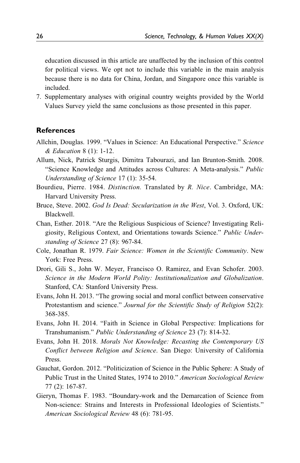<span id="page-25-0"></span>education discussed in this article are unaffected by the inclusion of this control for political views. We opt not to include this variable in the main analysis because there is no data for China, Jordan, and Singapore once this variable is included.

7. Supplementary analyses with original country weights provided by the World Values Survey yield the same conclusions as those presented in this paper.

#### **References**

- Allchin, Douglas. 1999. "Values in Science: An Educational Perspective." Science & Education 8 (1): 1-12.
- Allum, Nick, Patrick Sturgis, Dimitra Tabourazi, and Ian Brunton-Smith. 2008. "Science Knowledge and Attitudes across Cultures: A Meta-analysis." Public Understanding of Science 17 (1): 35-54.
- Bourdieu, Pierre. 1984. Distinction. Translated by R. Nice. Cambridge, MA: Harvard University Press.
- Bruce, Steve. 2002. God Is Dead: Secularization in the West, Vol. 3. Oxford, UK: Blackwell.
- Chan, Esther. 2018. "Are the Religious Suspicious of Science? Investigating Religiosity, Religious Context, and Orientations towards Science." Public Understanding of Science 27 (8): 967-84.
- Cole, Jonathan R. 1979. Fair Science: Women in the Scientific Community. New York: Free Press.
- Drori, Gili S., John W. Meyer, Francisco O. Ramirez, and Evan Schofer. 2003. Science in the Modern World Polity: Institutionalization and Globalization. Stanford, CA: Stanford University Press.
- Evans, John H. 2013. "The growing social and moral conflict between conservative Protestantism and science." Journal for the Scientific Study of Religion 52(2): 368-385.
- Evans, John H. 2014. "Faith in Science in Global Perspective: Implications for Transhumanism." Public Understanding of Science 23 (7): 814-32.
- Evans, John H. 2018. Morals Not Knowledge: Recasting the Contemporary US Conflict between Religion and Science. San Diego: University of California Press.
- Gauchat, Gordon. 2012. "Politicization of Science in the Public Sphere: A Study of Public Trust in the United States, 1974 to 2010." American Sociological Review 77 (2): 167-87.
- Gieryn, Thomas F. 1983. "Boundary-work and the Demarcation of Science from Non-science: Strains and Interests in Professional Ideologies of Scientists." American Sociological Review 48 (6): 781-95.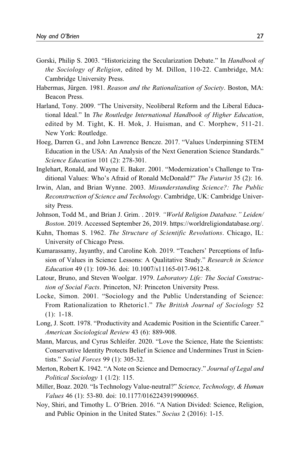- <span id="page-26-0"></span>Gorski, Philip S. 2003. "Historicizing the Secularization Debate." In Handbook of the Sociology of Religion, edited by M. Dillon, 110-22. Cambridge, MA: Cambridge University Press.
- Habermas, Jürgen. 1981. Reason and the Rationalization of Society. Boston, MA: Beacon Press.
- Harland, Tony. 2009. "The University, Neoliberal Reform and the Liberal Educational Ideal." In The Routledge International Handbook of Higher Education, edited by M. Tight, K. H. Mok, J. Huisman, and C. Morphew, 511-21. New York: Routledge.
- Hoeg, Darren G., and John Lawrence Bencze. 2017. "Values Underpinning STEM Education in the USA: An Analysis of the Next Generation Science Standards." Science Education 101 (2): 278-301.
- Inglehart, Ronald, and Wayne E. Baker. 2001. "Modernization's Challenge to Traditional Values: Who's Afraid of Ronald McDonald?" The Futurist 35 (2): 16.
- Irwin, Alan, and Brian Wynne. 2003. Misunderstanding Science?: The Public Reconstruction of Science and Technology. Cambridge, UK: Cambridge University Press.
- Johnson, Todd M., and Brian J. Grim. . 2019. "World Religion Database." Leiden/ Boston. 2019. Accessed September 26, 2019. [https://worldreligiondatabase.org/.](https://worldreligiondatabase.org/)
- Kuhn, Thomas S. 1962. The Structure of Scientific Revolutions. Chicago, IL: University of Chicago Press.
- Kumarassamy, Jayanthy, and Caroline Koh. 2019. "Teachers' Perceptions of Infusion of Values in Science Lessons: A Qualitative Study." Research in Science Education 49 (1): 109-36. doi: 10.1007/s11165-017-9612-8.
- Latour, Bruno, and Steven Woolgar. 1979. Laboratory Life: The Social Construction of Social Facts. Princeton, NJ: Princeton University Press.
- Locke, Simon. 2001. "Sociology and the Public Understanding of Science: From Rationalization to Rhetoric1." The British Journal of Sociology 52 (1): 1-18.
- Long, J. Scott. 1978. "Productivity and Academic Position in the Scientific Career." American Sociological Review 43 (6): 889-908.
- Mann, Marcus, and Cyrus Schleifer. 2020. "Love the Science, Hate the Scientists: Conservative Identity Protects Belief in Science and Undermines Trust in Scientists." Social Forces 99 (1): 305-32.
- Merton, Robert K. 1942. "A Note on Science and Democracy." Journal of Legal and Political Sociology 1 (1/2): 115.
- Miller, Boaz. 2020. "Is Technology Value-neutral?" Science, Technology, & Human Values 46 (1): 53-80. doi: 10.1177/0162243919900965.
- Noy, Shiri, and Timothy L. O'Brien. 2016. "A Nation Divided: Science, Religion, and Public Opinion in the United States." Socius 2 (2016): 1-15.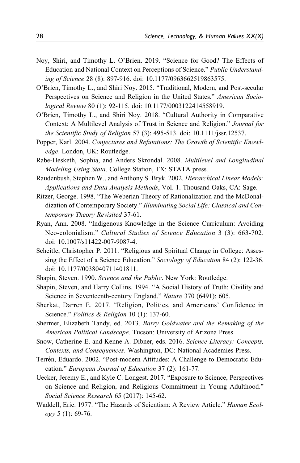- <span id="page-27-0"></span>Noy, Shiri, and Timothy L. O'Brien. 2019. "Science for Good? The Effects of Education and National Context on Perceptions of Science." Public Understanding of Science 28 (8): 897-916. doi: 10.1177/0963662519863575.
- O'Brien, Timothy L., and Shiri Noy. 2015. "Traditional, Modern, and Post-secular Perspectives on Science and Religion in the United States." American Sociological Review 80 (1): 92-115. doi: 10.1177/0003122414558919.
- O'Brien, Timothy L., and Shiri Noy. 2018. "Cultural Authority in Comparative Context: A Multilevel Analysis of Trust in Science and Religion." Journal for the Scientific Study of Religion 57 (3): 495-513. doi: 10.1111/jssr.12537.
- Popper, Karl. 2004. Conjectures and Refutations: The Growth of Scientific Knowledge. London, UK: Routledge.
- Rabe-Hesketh, Sophia, and Anders Skrondal. 2008. Multilevel and Longitudinal Modeling Using Stata. College Station, TX: STATA press.
- Raudenbush, Stephen W., and Anthony S. Bryk. 2002. Hierarchical Linear Models: Applications and Data Analysis Methods, Vol. 1. Thousand Oaks, CA: Sage.
- Ritzer, George. 1998. "The Weberian Theory of Rationalization and the McDonaldization of Contemporary Society." Illuminating Social Life: Classical and Contemporary Theory Revisited 37-61.
- Ryan, Ann. 2008. "Indigenous Knowledge in the Science Curriculum: Avoiding Neo-colonialism." Cultural Studies of Science Education 3 (3): 663-702. doi: 10.1007/s11422-007-9087-4.
- Scheitle, Christopher P. 2011. "Religious and Spiritual Change in College: Assessing the Effect of a Science Education." Sociology of Education 84 (2): 122-36. doi: 10.1177/0038040711401811.
- Shapin, Steven. 1990. Science and the Public. New York: Routledge.
- Shapin, Steven, and Harry Collins. 1994. "A Social History of Truth: Civility and Science in Seventeenth-century England." Nature 370 (6491): 605.
- Sherkat, Darren E. 2017. "Religion, Politics, and Americans' Confidence in Science." Politics & Religion 10 (1): 137-60.
- Shermer, Elizabeth Tandy, ed. 2013. Barry Goldwater and the Remaking of the American Political Landscape. Tucson: University of Arizona Press.
- Snow, Catherine E. and Kenne A. Dibner, eds. 2016. Science Literacy: Concepts, Contexts, and Consequences. Washington, DC: National Academies Press.
- Terrén, Eduardo. 2002. "Post-modern Attitudes: A Challenge to Democratic Education." European Journal of Education 37 (2): 161-77.
- Uecker, Jeremy E., and Kyle C. Longest. 2017. "Exposure to Science, Perspectives on Science and Religion, and Religious Commitment in Young Adulthood." Social Science Research 65 (2017): 145-62.
- Waddell, Eric. 1977. "The Hazards of Scientism: A Review Article." Human Ecology 5 (1): 69-76.